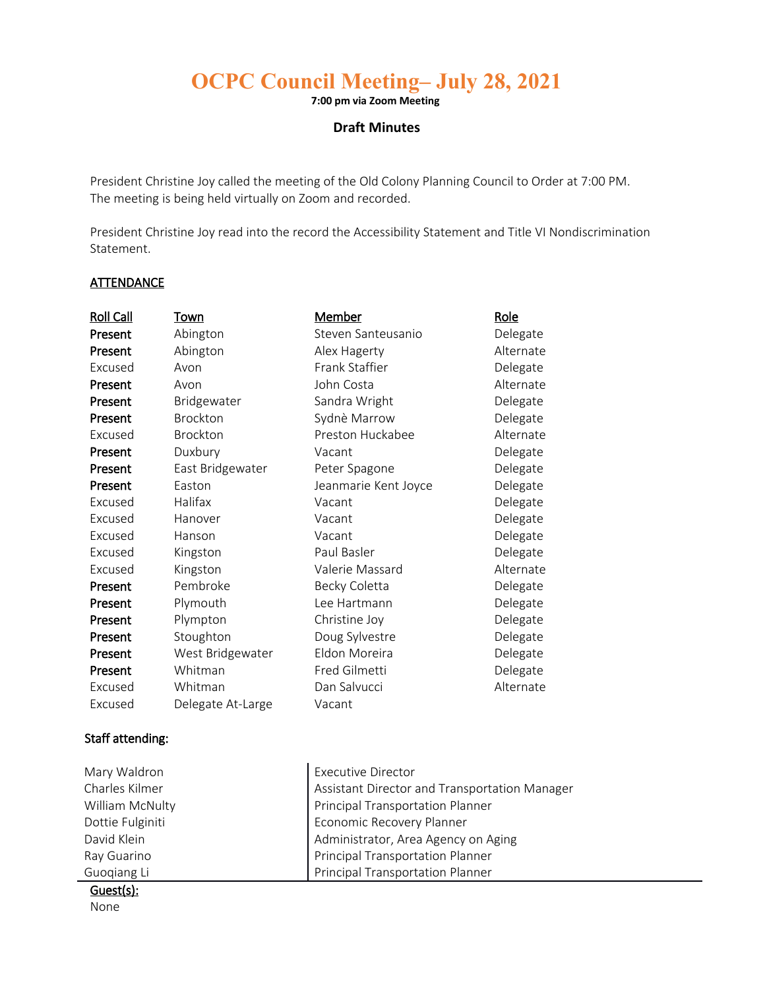# **OCPC Council Meeting– July 28, 2021**

**7:00 pm via Zoom Meeting** 

## **Draft Minutes**

President Christine Joy called the meeting of the Old Colony Planning Council to Order at 7:00 PM. The meeting is being held virtually on Zoom and recorded.

President Christine Joy read into the record the Accessibility Statement and Title VI Nondiscrimination Statement.

## **ATTENDANCE**

| <b>Roll Call</b> | Town              | <u>Member</u>        | <u>Role</u> |
|------------------|-------------------|----------------------|-------------|
| Present          | Abington          | Steven Santeusanio   | Delegate    |
| Present          | Abington          | Alex Hagerty         | Alternate   |
| Excused          | Avon              | Frank Staffier       | Delegate    |
| Present          | Avon              | John Costa           | Alternate   |
| Present          | Bridgewater       | Sandra Wright        | Delegate    |
| Present          | Brockton          | Sydnè Marrow         | Delegate    |
| Excused          | Brockton          | Preston Huckabee     | Alternate   |
| Present          | Duxbury           | Vacant               | Delegate    |
| Present          | East Bridgewater  | Peter Spagone        | Delegate    |
| Present          | Easton            | Jeanmarie Kent Joyce | Delegate    |
| Excused          | Halifax           | Vacant               | Delegate    |
| Excused          | Hanover           | Vacant               | Delegate    |
| Excused          | Hanson            | Vacant               | Delegate    |
| Excused          | Kingston          | Paul Basler          | Delegate    |
| Excused          | Kingston          | Valerie Massard      | Alternate   |
| Present          | Pembroke          | Becky Coletta        | Delegate    |
| Present          | Plymouth          | Lee Hartmann         | Delegate    |
| Present          | Plympton          | Christine Joy        | Delegate    |
| Present          | Stoughton         | Doug Sylvestre       | Delegate    |
| Present          | West Bridgewater  | Eldon Moreira        | Delegate    |
| Present          | Whitman           | Fred Gilmetti        | Delegate    |
| Excused          | Whitman           | Dan Salvucci         | Alternate   |
| Excused          | Delegate At-Large | Vacant               |             |

#### Staff attending:

| Mary Waldron     | <b>Executive Director</b>                     |
|------------------|-----------------------------------------------|
| Charles Kilmer   | Assistant Director and Transportation Manager |
| William McNulty  | <b>Principal Transportation Planner</b>       |
| Dottie Fulginiti | Economic Recovery Planner                     |
| David Klein      | Administrator, Area Agency on Aging           |
| Ray Guarino      | Principal Transportation Planner              |
| Guogiang Li      | <b>Principal Transportation Planner</b>       |

Guest(s):

None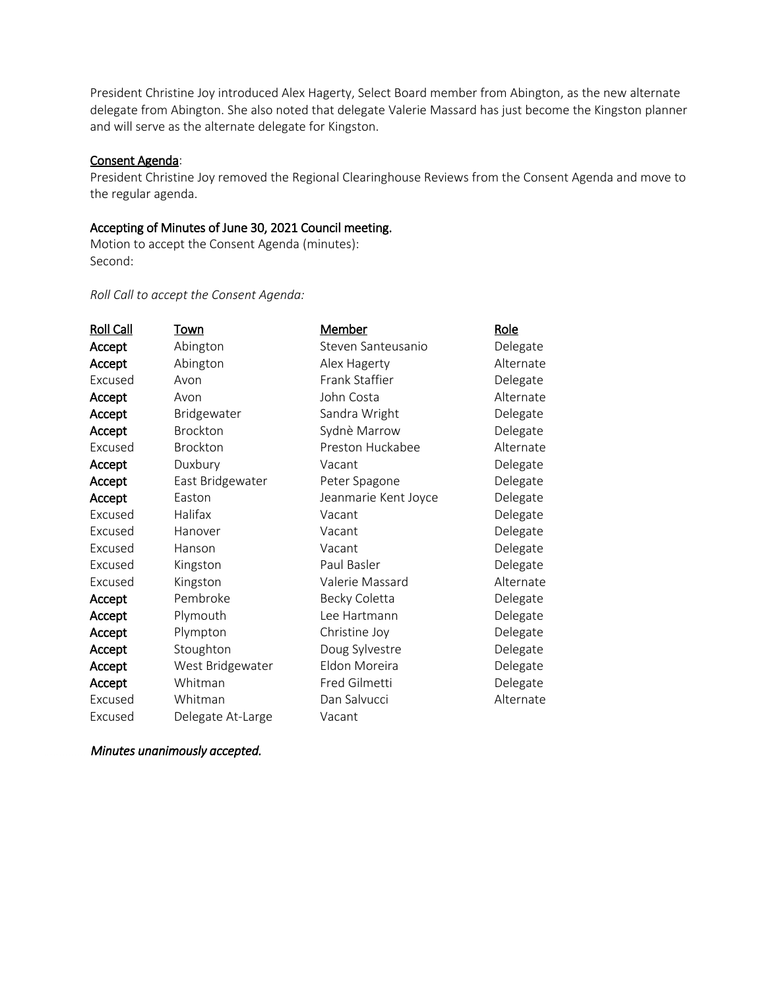President Christine Joy introduced Alex Hagerty, Select Board member from Abington, as the new alternate delegate from Abington. She also noted that delegate Valerie Massard has just become the Kingston planner and will serve as the alternate delegate for Kingston.

#### Consent Agenda:

President Christine Joy removed the Regional Clearinghouse Reviews from the Consent Agenda and move to the regular agenda.

#### Accepting of Minutes of June 30, 2021 Council meeting.

Motion to accept the Consent Agenda (minutes): Second:

## *Roll Call to accept the Consent Agenda:*

| <b>Roll Call</b> | Town              | <u>Member</u>        | Role      |
|------------------|-------------------|----------------------|-----------|
| Accept           | Abington          | Steven Santeusanio   | Delegate  |
| Accept           | Abington          | Alex Hagerty         | Alternate |
| Excused          | Avon              | Frank Staffier       | Delegate  |
| Accept           | Avon              | John Costa           | Alternate |
| Accept           | Bridgewater       | Sandra Wright        | Delegate  |
| Accept           | Brockton          | Sydnè Marrow         | Delegate  |
| Excused          | Brockton          | Preston Huckabee     | Alternate |
| Accept           | Duxbury           | Vacant               | Delegate  |
| Accept           | East Bridgewater  | Peter Spagone        | Delegate  |
| Accept           | Easton            | Jeanmarie Kent Joyce | Delegate  |
| Excused          | Halifax           | Vacant               | Delegate  |
| Excused          | Hanover           | Vacant               | Delegate  |
| Excused          | Hanson            | Vacant               | Delegate  |
| Excused          | Kingston          | Paul Basler          | Delegate  |
| Excused          | Kingston          | Valerie Massard      | Alternate |
| Accept           | Pembroke          | Becky Coletta        | Delegate  |
| Accept           | Plymouth          | Lee Hartmann         | Delegate  |
| Accept           | Plympton          | Christine Joy        | Delegate  |
| Accept           | Stoughton         | Doug Sylvestre       | Delegate  |
| Accept           | West Bridgewater  | Eldon Moreira        | Delegate  |
| Accept           | Whitman           | Fred Gilmetti        | Delegate  |
| Excused          | Whitman           | Dan Salvucci         | Alternate |
| Excused          | Delegate At-Large | Vacant               |           |

 *Minutes unanimously accepted.*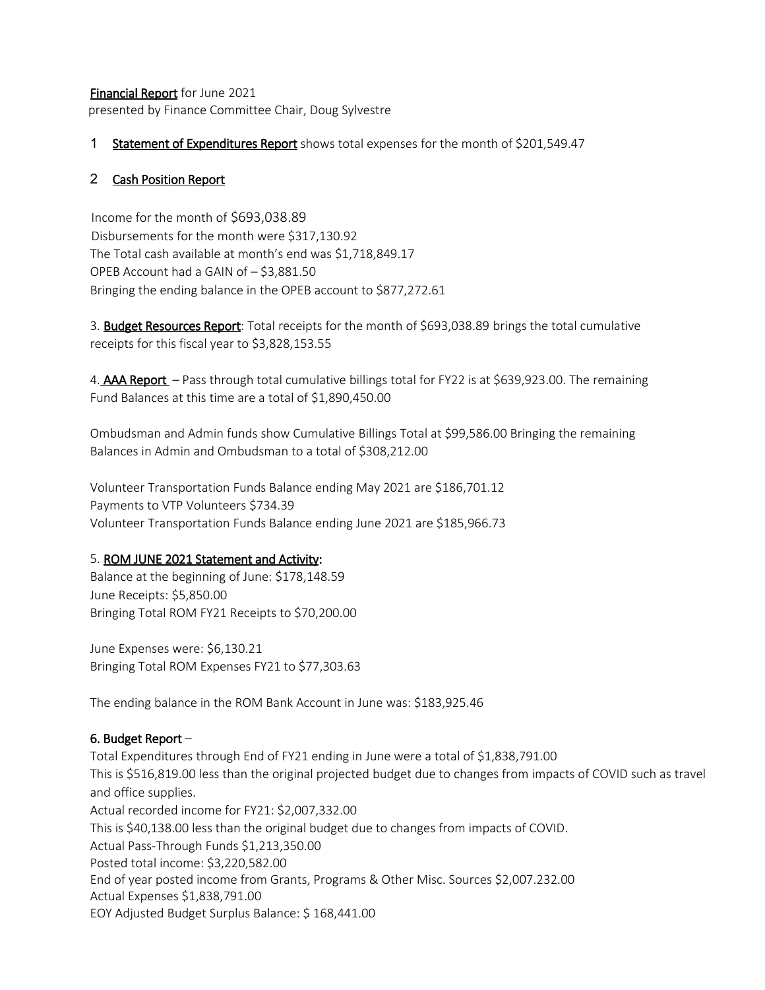Financial Report for June 2021 presented by Finance Committee Chair, Doug Sylvestre

# 1 Statement of Expenditures Report shows total expenses for the month of \$201,549.47

## 2 Cash Position Report

 Income for the month of \$693,038.89 Disbursements for the month were \$317,130.92 The Total cash available at month's end was \$1,718,849.17 OPEB Account had a GAIN of – \$3,881.50 Bringing the ending balance in the OPEB account to \$877,272.61

3. **Budget Resources Report**: Total receipts for the month of \$693,038.89 brings the total cumulative receipts for this fiscal year to \$3,828,153.55

4. AAA Report - Pass through total cumulative billings total for FY22 is at \$639,923.00. The remaining Fund Balances at this time are a total of \$1,890,450.00

Ombudsman and Admin funds show Cumulative Billings Total at \$99,586.00 Bringing the remaining Balances in Admin and Ombudsman to a total of \$308,212.00

Volunteer Transportation Funds Balance ending May 2021 are \$186,701.12 Payments to VTP Volunteers \$734.39 Volunteer Transportation Funds Balance ending June 2021 are \$185,966.73

## 5. ROM JUNE 2021 Statement and Activity:

Balance at the beginning of June: \$178,148.59 June Receipts: \$5,850.00 Bringing Total ROM FY21 Receipts to \$70,200.00

June Expenses were: \$6,130.21 Bringing Total ROM Expenses FY21 to \$77,303.63

The ending balance in the ROM Bank Account in June was: \$183,925.46

# 6. Budget Report –

Total Expenditures through End of FY21 ending in June were a total of \$1,838,791.00 This is \$516,819.00 less than the original projected budget due to changes from impacts of COVID such as travel and office supplies. Actual recorded income for FY21: \$2,007,332.00 This is \$40,138.00 less than the original budget due to changes from impacts of COVID. Actual Pass-Through Funds \$1,213,350.00 Posted total income: \$3,220,582.00 End of year posted income from Grants, Programs & Other Misc. Sources \$2,007.232.00 Actual Expenses \$1,838,791.00 EOY Adjusted Budget Surplus Balance: \$ 168,441.00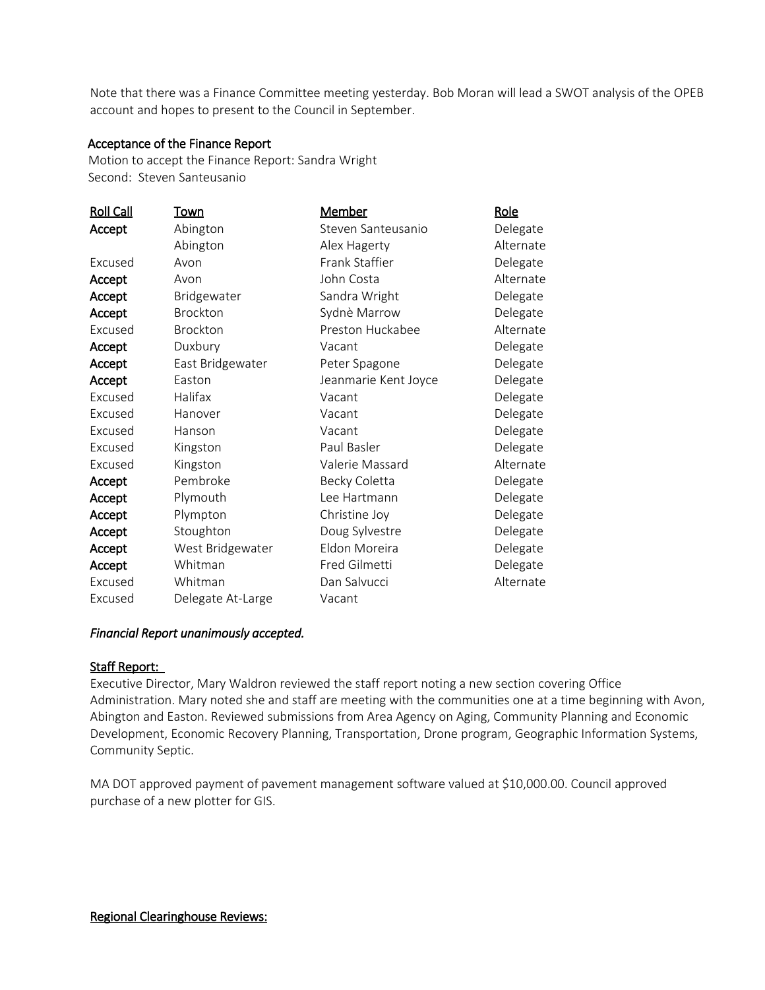Note that there was a Finance Committee meeting yesterday. Bob Moran will lead a SWOT analysis of the OPEB account and hopes to present to the Council in September.

## Acceptance of the Finance Report

 Motion to accept the Finance Report: Sandra Wright Second: Steven Santeusanio

| <b>Roll Call</b> | <u>Town</u>       | <u>Member</u>        | <u>Role</u> |
|------------------|-------------------|----------------------|-------------|
| Accept           | Abington          | Steven Santeusanio   | Delegate    |
|                  | Abington          | Alex Hagerty         | Alternate   |
| Excused          | Avon              | Frank Staffier       | Delegate    |
| Accept           | Avon              | John Costa           | Alternate   |
| Accept           | Bridgewater       | Sandra Wright        | Delegate    |
| Accept           | <b>Brockton</b>   | Sydnè Marrow         | Delegate    |
| Excused          | Brockton          | Preston Huckabee     | Alternate   |
| Accept           | Duxbury           | Vacant               | Delegate    |
| Accept           | East Bridgewater  | Peter Spagone        | Delegate    |
| Accept           | Easton            | Jeanmarie Kent Joyce | Delegate    |
| Excused          | Halifax           | Vacant               | Delegate    |
| Excused          | Hanover           | Vacant               | Delegate    |
| Excused          | Hanson            | Vacant               | Delegate    |
| Excused          | Kingston          | Paul Basler          | Delegate    |
| Excused          | Kingston          | Valerie Massard      | Alternate   |
| Accept           | Pembroke          | Becky Coletta        | Delegate    |
| Accept           | Plymouth          | Lee Hartmann         | Delegate    |
| Accept           | Plympton          | Christine Joy        | Delegate    |
| Accept           | Stoughton         | Doug Sylvestre       | Delegate    |
| Accept           | West Bridgewater  | Eldon Moreira        | Delegate    |
| Accept           | Whitman           | Fred Gilmetti        | Delegate    |
| Excused          | Whitman           | Dan Salvucci         | Alternate   |
| Excused          | Delegate At-Large | Vacant               |             |

## *Financial Report unanimously accepted.*

## Staff Report:

Executive Director, Mary Waldron reviewed the staff report noting a new section covering Office Administration. Mary noted she and staff are meeting with the communities one at a time beginning with Avon, Abington and Easton. Reviewed submissions from Area Agency on Aging, Community Planning and Economic Development, Economic Recovery Planning, Transportation, Drone program, Geographic Information Systems, Community Septic.

MA DOT approved payment of pavement management software valued at \$10,000.00. Council approved purchase of a new plotter for GIS.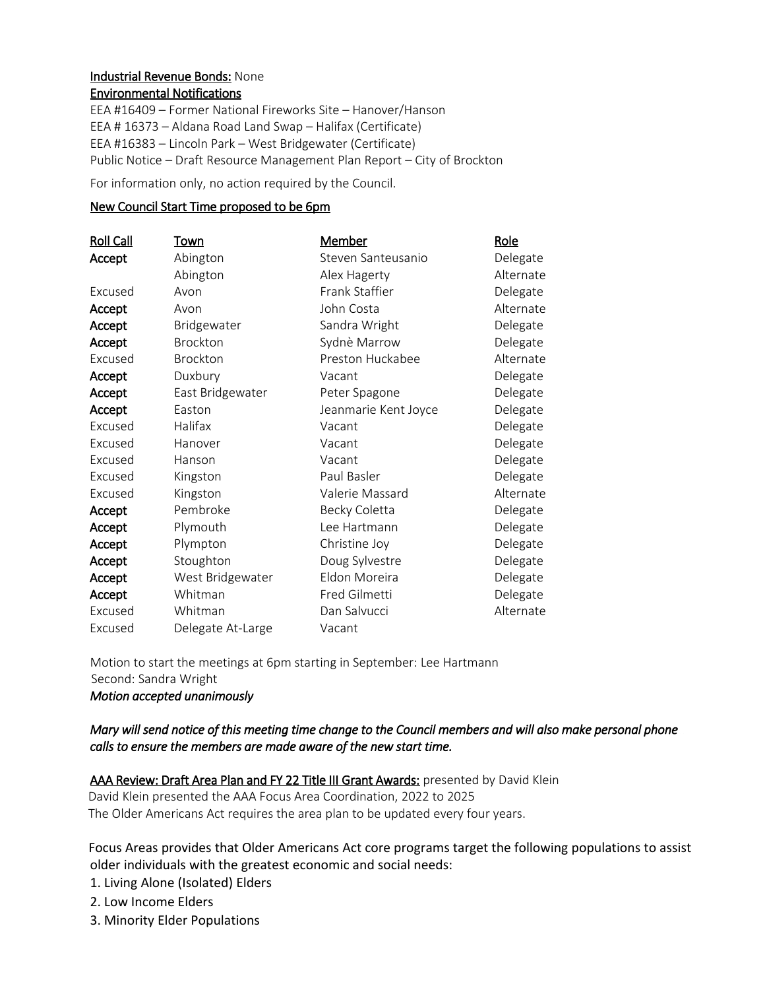## Industrial Revenue Bonds: None Environmental Notifications

EEA #16409 – Former National Fireworks Site – Hanover/Hanson EEA # 16373 – Aldana Road Land Swap – Halifax (Certificate) EEA #16383 – Lincoln Park – West Bridgewater (Certificate) Public Notice – Draft Resource Management Plan Report – City of Brockton

For information only, no action required by the Council.

# New Council Start Time proposed to be 6pm

| <b>Roll Call</b> | Town              | <u>Member</u>        | Role      |
|------------------|-------------------|----------------------|-----------|
| Accept           | Abington          | Steven Santeusanio   | Delegate  |
|                  | Abington          | Alex Hagerty         | Alternate |
| Excused          | Avon              | Frank Staffier       | Delegate  |
| Accept           | Avon              | John Costa           | Alternate |
| Accept           | Bridgewater       | Sandra Wright        | Delegate  |
| Accept           | Brockton          | Sydnè Marrow         | Delegate  |
| Excused          | Brockton          | Preston Huckabee     | Alternate |
| Accept           | Duxbury           | Vacant               | Delegate  |
| Accept           | East Bridgewater  | Peter Spagone        | Delegate  |
| Accept           | Easton            | Jeanmarie Kent Joyce | Delegate  |
| Excused          | Halifax           | Vacant               | Delegate  |
| Excused          | Hanover           | Vacant               | Delegate  |
| Excused          | Hanson            | Vacant               | Delegate  |
| Excused          | Kingston          | Paul Basler          | Delegate  |
| Excused          | Kingston          | Valerie Massard      | Alternate |
| Accept           | Pembroke          | Becky Coletta        | Delegate  |
| Accept           | Plymouth          | Lee Hartmann         | Delegate  |
| Accept           | Plympton          | Christine Joy        | Delegate  |
| Accept           | Stoughton         | Doug Sylvestre       | Delegate  |
| Accept           | West Bridgewater  | Eldon Moreira        | Delegate  |
| Accept           | Whitman           | Fred Gilmetti        | Delegate  |
| Excused          | Whitman           | Dan Salvucci         | Alternate |
| Excused          | Delegate At-Large | Vacant               |           |

Motion to start the meetings at 6pm starting in September: Lee Hartmann Second: Sandra Wright

*Motion accepted unanimously*

# *Mary will send notice of this meeting time change to the Council members and will also make personal phone calls to ensure the members are made aware of the new start time.*

AAA Review: Draft Area Plan and FY 22 Title III Grant Awards: presented by David Klein David Klein presented the AAA Focus Area Coordination, 2022 to 2025

The Older Americans Act requires the area plan to be updated every four years.

 Focus Areas provides that Older Americans Act core programs target the following populations to assist older individuals with the greatest economic and social needs:

1. Living Alone (Isolated) Elders

2. Low Income Elders

3. Minority Elder Populations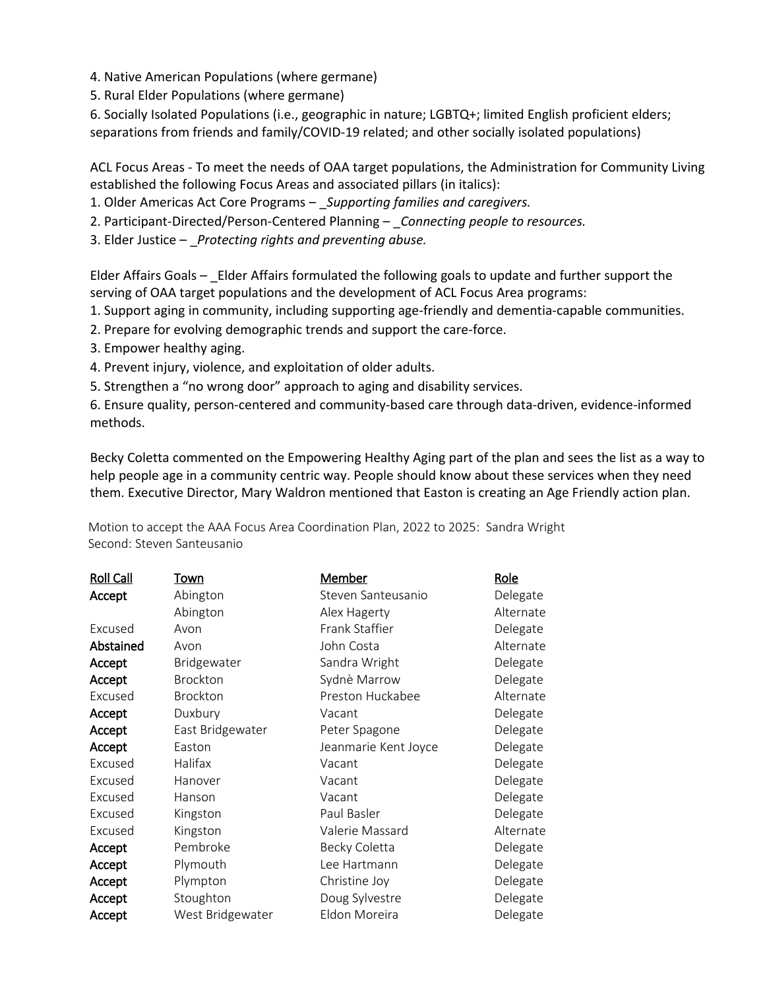4. Native American Populations (where germane)

5. Rural Elder Populations (where germane)

6. Socially Isolated Populations (i.e., geographic in nature; LGBTQ+; limited English proficient elders; separations from friends and family/COVID-19 related; and other socially isolated populations)

ACL Focus Areas - To meet the needs of OAA target populations, the Administration for Community Living established the following Focus Areas and associated pillars (in italics):

1. Older Americas Act Core Programs – \_*Supporting families and caregivers.* 

2. Participant-Directed/Person-Centered Planning – \_*Connecting people to resources.* 

3. Elder Justice – \_*Protecting rights and preventing abuse.* 

Elder Affairs Goals – Elder Affairs formulated the following goals to update and further support the serving of OAA target populations and the development of ACL Focus Area programs:

1. Support aging in community, including supporting age-friendly and dementia-capable communities.

2. Prepare for evolving demographic trends and support the care-force.

3. Empower healthy aging.

4. Prevent injury, violence, and exploitation of older adults.

5. Strengthen a "no wrong door" approach to aging and disability services.

6. Ensure quality, person-centered and community-based care through data-driven, evidence-informed methods.

Becky Coletta commented on the Empowering Healthy Aging part of the plan and sees the list as a way to help people age in a community centric way. People should know about these services when they need them. Executive Director, Mary Waldron mentioned that Easton is creating an Age Friendly action plan.

Roll Call Town Member News Role Accept Excused Abstained Accept Accept Excused Accept Accept Accept Excused Excused Excused Excused Excused Accept Accept Accept Accept Accept Abington Abington Avon Avon Bridgewater Brockton Brockton Duxbury East Bridgewater Easton Halifax Hanover Hanson Kingston Kingston Pembroke Plymouth Plympton Stoughton West Bridgewater Steven Santeusanio Alex Hagerty Frank Staffier John Costa Sandra Wright Sydnѐ Marrow Preston Huckabee Vacant Peter Spagone Jeanmarie Kent Joyce Vacant Vacant Vacant Paul Basler Valerie Massard Becky Coletta Lee Hartmann Christine Joy Doug Sylvestre Eldon Moreira Delegate Alternate Delegate Alternate Delegate Delegate Alternate Delegate Delegate Delegate Delegate Delegate Delegate Delegate Alternate Delegate Delegate Delegate Delegate Delegate

 Motion to accept the AAA Focus Area Coordination Plan, 2022 to 2025: Sandra Wright Second: Steven Santeusanio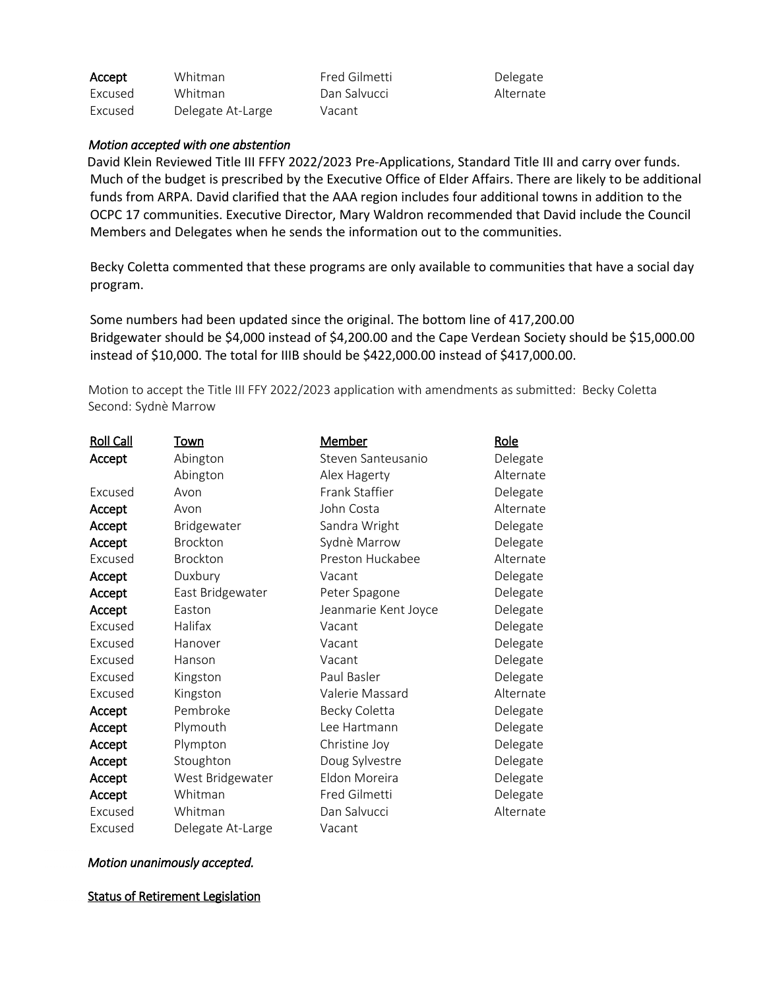| Accept  | Whitman           | Fr |
|---------|-------------------|----|
| Excused | Whitman           | D. |
| Excused | Delegate At-Large | V. |

red Gilmetti an Salvucci acant

Delegate Alternate

#### *Motion accepted with one abstention*

 David Klein Reviewed Title III FFFY 2022/2023 Pre-Applications, Standard Title III and carry over funds. Much of the budget is prescribed by the Executive Office of Elder Affairs. There are likely to be additional funds from ARPA. David clarified that the AAA region includes four additional towns in addition to the OCPC 17 communities. Executive Director, Mary Waldron recommended that David include the Council Members and Delegates when he sends the information out to the communities.

Becky Coletta commented that these programs are only available to communities that have a social day program.

Some numbers had been updated since the original. The bottom line of 417,200.00 Bridgewater should be \$4,000 instead of \$4,200.00 and the Cape Verdean Society should be \$15,000.00 instead of \$10,000. The total for IIIB should be \$422,000.00 instead of \$417,000.00.

 Motion to accept the Title III FFY 2022/2023 application with amendments as submitted: Becky Coletta Second: Sydnѐ Marrow

| <b>Roll Call</b> | Town              | <b>Member</b>        | <u>Role</u> |
|------------------|-------------------|----------------------|-------------|
| Accept           | Abington          | Steven Santeusanio   | Delegate    |
|                  | Abington          | Alex Hagerty         | Alternate   |
| Excused          | Avon              | Frank Staffier       | Delegate    |
| Accept           | Avon              | John Costa           | Alternate   |
| Accept           | Bridgewater       | Sandra Wright        | Delegate    |
| Accept           | Brockton          | Sydnè Marrow         | Delegate    |
| Excused          | Brockton          | Preston Huckabee     | Alternate   |
| Accept           | Duxbury           | Vacant               | Delegate    |
| Accept           | East Bridgewater  | Peter Spagone        | Delegate    |
| Accept           | Easton            | Jeanmarie Kent Joyce | Delegate    |
| Excused          | Halifax           | Vacant               | Delegate    |
| Excused          | Hanover           | Vacant               | Delegate    |
| Excused          | Hanson            | Vacant               | Delegate    |
| Excused          | Kingston          | Paul Basler          | Delegate    |
| Excused          | Kingston          | Valerie Massard      | Alternate   |
| Accept           | Pembroke          | Becky Coletta        | Delegate    |
| Accept           | Plymouth          | Lee Hartmann         | Delegate    |
| Accept           | Plympton          | Christine Joy        | Delegate    |
| Accept           | Stoughton         | Doug Sylvestre       | Delegate    |
| Accept           | West Bridgewater  | Eldon Moreira        | Delegate    |
| Accept           | Whitman           | Fred Gilmetti        | Delegate    |
| Excused          | Whitman           | Dan Salvucci         | Alternate   |
| Excused          | Delegate At-Large | Vacant               |             |

## *Motion unanimously accepted.*

**Status of Retirement Legislation**